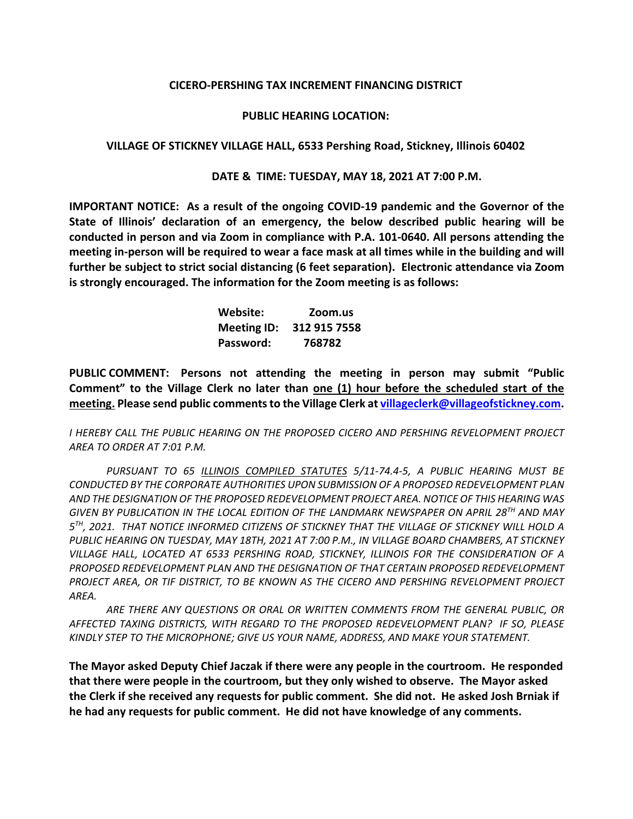### **CICERO-PERSHING TAX INCREMENT FINANCING DISTRICT**

#### **PUBLIC HEARING LOCATION:**

#### **VILLAGE OF STICKNEY VILLAGE HALL, 6533 Pershing Road, Stickney, Illinois 60402**

#### **DATE & TIME: TUESDAY, MAY 18, 2021 AT 7:00 P.M.**

**IMPORTANT NOTICE: As a result of the ongoing COVID-19 pandemic and the Governor of the State of Illinois' declaration of an emergency, the below described public hearing will be conducted in person and via Zoom in compliance with P.A. 101-0640. All persons attending the meeting in-person will be required to wear a face mask at all times while in the building and will further be subject to strict social distancing (6 feet separation). Electronic attendance via Zoom is strongly encouraged. The information for the Zoom meeting is as follows:**

> **Website: Zoom.us Meeting ID: 312 915 7558 Password: 768782**

**PUBLIC COMMENT: Persons not attending the meeting in person may submit "Public Comment" to the Village Clerk no later than one (1) hour before the scheduled start of the meeting. Please send public comments to the Village Clerk at [villageclerk@villageofstickney.com.](about:blank)** 

*I HEREBY CALL THE PUBLIC HEARING ON THE PROPOSED CICERO AND PERSHING REVELOPMENT PROJECT AREA TO ORDER AT 7:01 P.M.*

*PURSUANT TO 65 ILLINOIS COMPILED STATUTES 5/11-74.4-5, A PUBLIC HEARING MUST BE CONDUCTED BY THE CORPORATE AUTHORITIES UPON SUBMISSION OF A PROPOSED REDEVELOPMENT PLAN AND THE DESIGNATION OF THE PROPOSED REDEVELOPMENT PROJECT AREA. NOTICE OF THIS HEARING WAS GIVEN BY PUBLICATION IN THE LOCAL EDITION OF THE LANDMARK NEWSPAPER ON APRIL 28TH AND MAY 5TH, 2021. THAT NOTICE INFORMED CITIZENS OF STICKNEY THAT THE VILLAGE OF STICKNEY WILL HOLD A PUBLIC HEARING ON TUESDAY, MAY 18TH, 2021 AT 7:00 P.M., IN VILLAGE BOARD CHAMBERS, AT STICKNEY VILLAGE HALL, LOCATED AT 6533 PERSHING ROAD, STICKNEY, ILLINOIS FOR THE CONSIDERATION OF A PROPOSED REDEVELOPMENT PLAN AND THE DESIGNATION OF THAT CERTAIN PROPOSED REDEVELOPMENT PROJECT AREA, OR TIF DISTRICT, TO BE KNOWN AS THE CICERO AND PERSHING REVELOPMENT PROJECT AREA.*

*ARE THERE ANY QUESTIONS OR ORAL OR WRITTEN COMMENTS FROM THE GENERAL PUBLIC, OR AFFECTED TAXING DISTRICTS, WITH REGARD TO THE PROPOSED REDEVELOPMENT PLAN? IF SO, PLEASE KINDLY STEP TO THE MICROPHONE; GIVE US YOUR NAME, ADDRESS, AND MAKE YOUR STATEMENT.*

**The Mayor asked Deputy Chief Jaczak if there were any people in the courtroom. He responded that there were people in the courtroom, but they only wished to observe. The Mayor asked the Clerk if she received any requests for public comment. She did not. He asked Josh Brniak if he had any requests for public comment. He did not have knowledge of any comments.**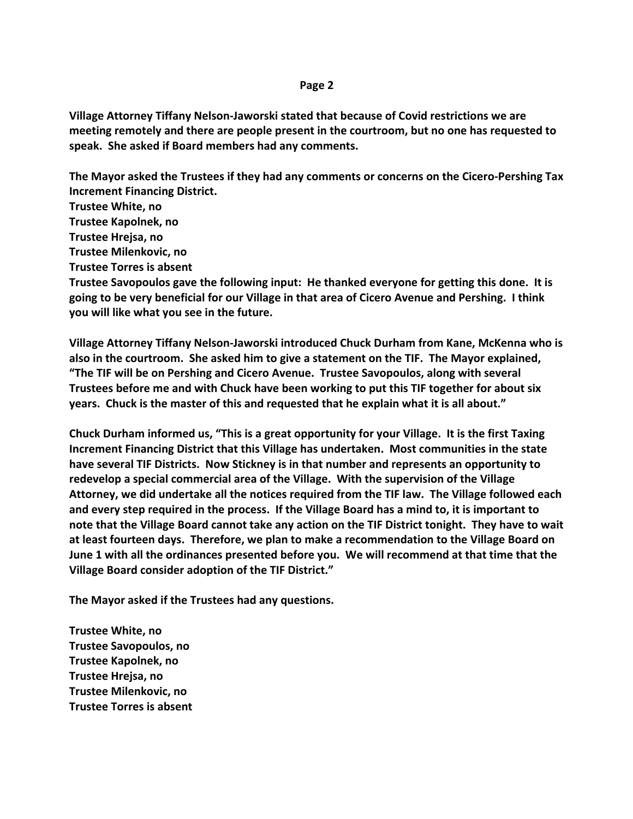## **Page 2**

**Village Attorney Tiffany Nelson-Jaworski stated that because of Covid restrictions we are meeting remotely and there are people present in the courtroom, but no one has requested to speak. She asked if Board members had any comments.** 

**The Mayor asked the Trustees if they had any comments or concerns on the Cicero-Pershing Tax Increment Financing District.**

**Trustee White, no**

**Trustee Kapolnek, no**

**Trustee Hrejsa, no**

**Trustee Milenkovic, no**

**Trustee Torres is absent**

**Trustee Savopoulos gave the following input: He thanked everyone for getting this done. It is going to be very beneficial for our Village in that area of Cicero Avenue and Pershing. I think you will like what you see in the future.** 

**Village Attorney Tiffany Nelson-Jaworski introduced Chuck Durham from Kane, McKenna who is also in the courtroom. She asked him to give a statement on the TIF. The Mayor explained, "The TIF will be on Pershing and Cicero Avenue. Trustee Savopoulos, along with several Trustees before me and with Chuck have been working to put this TIF together for about six years. Chuck is the master of this and requested that he explain what it is all about."**

**Chuck Durham informed us, "This is a great opportunity for your Village. It is the first Taxing Increment Financing District that this Village has undertaken. Most communities in the state have several TIF Districts. Now Stickney is in that number and represents an opportunity to redevelop a special commercial area of the Village. With the supervision of the Village Attorney, we did undertake all the notices required from the TIF law. The Village followed each and every step required in the process. If the Village Board has a mind to, it is important to note that the Village Board cannot take any action on the TIF District tonight. They have to wait at least fourteen days. Therefore, we plan to make a recommendation to the Village Board on June 1 with all the ordinances presented before you. We will recommend at that time that the Village Board consider adoption of the TIF District."** 

**The Mayor asked if the Trustees had any questions.**

**Trustee White, no Trustee Savopoulos, no Trustee Kapolnek, no Trustee Hrejsa, no Trustee Milenkovic, no Trustee Torres is absent**